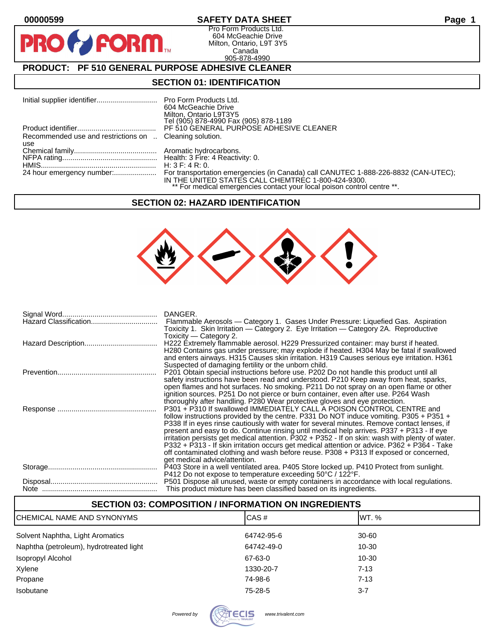**PR** 

## **00000599 SAFETY DATA SHEET Page 1**

Pro Form Products Ltd. 604 McGeachie Drive Milton, Ontario, L9T 3Y5 Canada 905-878-4990

# **PRODUCT: PF 510 GENERAL PURPOSE ADHESIVE CLEANER**

**FORM.** 

### **SECTION 01: IDENTIFICATION**

|                                                                | 604 McGeachie Drive<br>Milton, Ontario L9T3Y5<br>Tel (905) 878-4990 Fax (905) 878-1189                                        |
|----------------------------------------------------------------|-------------------------------------------------------------------------------------------------------------------------------|
|                                                                | PF 510 GENERAL PURPOSE ADHESIVE CLEANER                                                                                       |
| Recommended use and restrictions on  Cleaning solution.<br>use |                                                                                                                               |
|                                                                |                                                                                                                               |
|                                                                | H: $3 F: 4 R: 0.$                                                                                                             |
|                                                                | IN THE UNITED STATES CALL CHEMTREC 1-800-424-9300.<br>** For medical emergencies contact your local poison control centre **. |

#### **SECTION 02: HAZARD IDENTIFICATION**



| DANGER.                                                                                                                                                                              |
|--------------------------------------------------------------------------------------------------------------------------------------------------------------------------------------|
| Flammable Aerosols - Category 1. Gases Under Pressure: Liquefied Gas. Aspiration                                                                                                     |
| Toxicity 1. Skin Irritation — Category 2. Eye Irritation — Category 2A. Reproductive<br>Toxicity — Category 2.                                                                       |
| H222 Extremely flammable aerosol. H229 Pressurized container: may burst if heated.                                                                                                   |
| H280 Contains gas under pressure; may explode if heated. H304 May be fatal if swallowed<br>and enters airways. H315 Causes skin irritation. H319 Causes serious eye irritation. H361 |
| Suspected of damaging fertility or the unborn child.                                                                                                                                 |
| P201 Obtain special instructions before use. P202 Do not handle this product until all                                                                                               |
| safety instructions have been read and understood. P210 Keep away from heat, sparks,<br>open flames and hot surfaces. No smoking. P211 Do not spray on an open flame or other        |
| ignition sources. P251 Do not pierce or burn container, even after use. P264 Wash                                                                                                    |
| thoroughly after handling. P280 Wear protective gloves and eye protection.                                                                                                           |
| P301 + P310 If swallowed IMMEDIATELY CALL A POISON CONTROL CENTRE and<br>follow instructions provided by the centre. P331 Do NOT induce vomiting. P305 + P351 +                      |
| P338 If in eyes rinse cautiously with water for several minutes. Remove contact lenses, if                                                                                           |
| present and easy to do. Continue rinsing until medical help arrives. P337 + P313 - If eye                                                                                            |
| irritation persists get medical attention. P302 + P352 - If on skin: wash with plenty of water.                                                                                      |
| P332 + P313 - If skin irritation occurs get medical attention or advice. P362 + P364 - Take<br>off contaminated clothing and wash before reuse. P308 + P313 If exposed or concerned, |
| get medical advice/attention.                                                                                                                                                        |
| P403 Store in a well ventilated area. P405 Store locked up. P410 Protect from sunlight.                                                                                              |
| P412 Do not expose to temperature exceeding 50°C / 122°F.<br>P501 Dispose all unused, waste or empty containers in accordance with local regulations.                                |
| This product mixture has been classified based on its ingredients.                                                                                                                   |

### **SECTION 03: COMPOSITION / INFORMATION ON INGREDIENTS**

| ICHEMICAL NAME AND SYNONYMS             | ICAS#      | IWT. %    |
|-----------------------------------------|------------|-----------|
| Solvent Naphtha, Light Aromatics        | 64742-95-6 | 30-60     |
| Naphtha (petroleum), hydrotreated light | 64742-49-0 | $10 - 30$ |
| Isopropyl Alcohol                       | 67-63-0    | 10-30     |
| Xylene                                  | 1330-20-7  | $7 - 13$  |
| Propane                                 | 74-98-6    | $7 - 13$  |
| Isobutane                               | 75-28-5    | $3 - 7$   |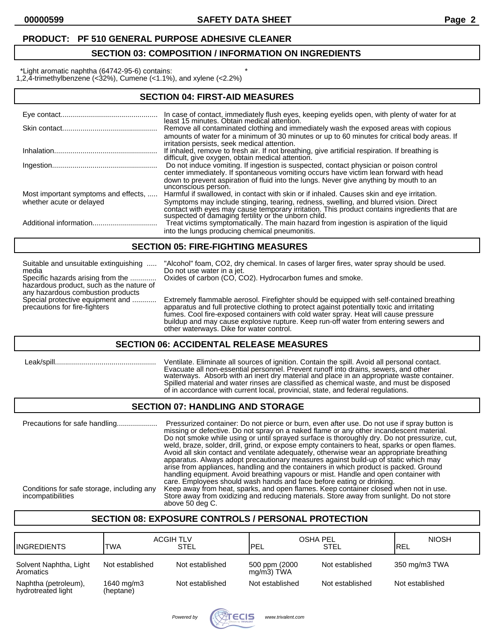## **PRODUCT: PF 510 GENERAL PURPOSE ADHESIVE CLEANER**

## **SECTION 03: COMPOSITION / INFORMATION ON INGREDIENTS**

\*Light aromatic naphtha (64742-95-6) contains: \*

1,2,4-trimethylbenzene (<32%), Cumene (<1.1%), and xylene (<2.2%)

| <b>SECTION 04: FIRST-AID MEASURES</b> |                                                                                                                                                                                                                                                                                                  |  |
|---------------------------------------|--------------------------------------------------------------------------------------------------------------------------------------------------------------------------------------------------------------------------------------------------------------------------------------------------|--|
|                                       | In case of contact, immediately flush eyes, keeping eyelids open, with plenty of water for at<br>least 15 minutes. Obtain medical attention.                                                                                                                                                     |  |
|                                       | Remove all contaminated clothing and immediately wash the exposed areas with copious                                                                                                                                                                                                             |  |
|                                       | amounts of water for a minimum of 30 minutes or up to 60 minutes for critical body areas. If<br>irritation persists, seek medical attention.                                                                                                                                                     |  |
|                                       | If inhaled, remove to fresh air. If not breathing, give artificial respiration. If breathing is<br>difficult, give oxygen, obtain medical attention.                                                                                                                                             |  |
|                                       | Do not induce vomiting. If ingestion is suspected, contact physician or poison control<br>center immediately. If spontaneous vomiting occurs have victim lean forward with head<br>down to prevent aspiration of fluid into the lungs. Never give anything by mouth to an<br>unconscious person. |  |
| Most important symptoms and effects,  | Harmful if swallowed, in contact with skin or if inhaled. Causes skin and eye irritation.                                                                                                                                                                                                        |  |
| whether acute or delayed              | Symptoms may include stinging, tearing, redness, swelling, and blurred vision. Direct<br>contact with eyes may cause temporary irritation. This product contains ingredients that are<br>suspected of damaging fertility or the unborn child.                                                    |  |
|                                       | Treat victims symptomatically. The main hazard from ingestion is aspiration of the liquid<br>into the lungs producing chemical pneumonitis.                                                                                                                                                      |  |

#### **SECTION 05: FIRE-FIGHTING MEASURES**

media Do not use water in a jet. Specific hazards arising from the ............. Oxides of carbon (CO, CO2). Hydrocarbon fumes and smoke.

hazardous product, such as the nature of any hazardous combustion products

Suitable and unsuitable extinguishing ..... "Alcohol" foam, CO2, dry chemical. In cases of larger fires, water spray should be used.

Special protective equipment and ............. Extremely flammable aerosol. Firefighter should be equipped with self-contained breathing<br>precautions for fire-fighters and interval apparatus and full protective clothing to apparatus and full protective clothing to protect against potentially toxic and irritating fumes. Cool fire-exposed containers with cold water spray. Heat will cause pressure buildup and may cause explosive rupture. Keep run-off water from entering sewers and other waterways. Dike for water control.

#### **SECTION 06: ACCIDENTAL RELEASE MEASURES**

| Leak/spill |
|------------|
|------------|

Ventilate. Eliminate all sources of ignition. Contain the spill. Avoid all personal contact. Evacuate all non-essential personnel. Prevent runoff into drains, sewers, and other waterways. Absorb with an inert dry material and place in an appropriate waste container. Spilled material and water rinses are classified as chemical waste, and must be disposed of in accordance with current local, provincial, state, and federal regulations.

#### **SECTION 07: HANDLING AND STORAGE**

Precautions for safe handling.................... Pressurized container: Do not pierce or burn, even after use. Do not use if spray button is missing or defective. Do not spray on a naked flame or any other incandescent material. Do not smoke while using or until sprayed surface is thoroughly dry. Do not pressurize, cut, weld, braze, solder, drill, grind, or expose empty containers to heat, sparks or open flames. Avoid all skin contact and ventilate adequately, otherwise wear an appropriate breathing apparatus. Always adopt precautionary measures against build-up of static which may arise from appliances, handling and the containers in which product is packed. Ground handling equipment. Avoid breathing vapours or mist. Handle and open container with care. Employees should wash hands and face before eating or drinking. Conditions for safe storage, including any Keep away from heat, sparks, and open flames. Keep container closed when not in use. incompatibilities Store away from oxidizing and reducing materials. Store away from sunlight. Do not store above 50 deg C.

## **SECTION 08: EXPOSURE CONTROLS / PERSONAL PROTECTION**

| <b>I</b> INGREDIENTS                       | <b>ACGIH TLV</b><br>TWA | STEL            | OSHA PEL<br><b>PEL!</b>        | <b>STEL</b>     | <b>NIOSH</b><br><b>IREL</b> |
|--------------------------------------------|-------------------------|-----------------|--------------------------------|-----------------|-----------------------------|
| Solvent Naphtha, Light<br>Aromatics        | Not established         | Not established | 500 ppm (2000<br>$mq/m3$ ) TWA | Not established | 350 mg/m3 TWA               |
| Naphtha (petroleum),<br>hydrotreated light | 1640 mg/m3<br>(heptane) | Not established | Not established                | Not established | Not established             |

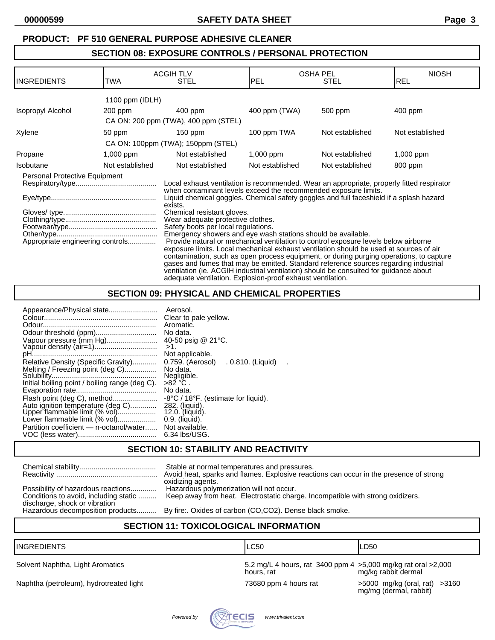### **PRODUCT: PF 510 GENERAL PURPOSE ADHESIVE CLEANER**

## **SECTION 08: EXPOSURE CONTROLS / PERSONAL PROTECTION**

| IINGREDIENTS                                                                                                                                                                                                                                                                                                                                                                                                                                                                                                                                                                                                                                                                                                                                                                                                                                                                                                                                                                                                                                 | TWA             | <b>ACGIH TLV</b><br><b>STEL</b>      | <b>PEL</b>      | <b>OSHA PEL</b><br><b>STEL</b> | <b>NIOSH</b><br><b>IREL</b> |
|----------------------------------------------------------------------------------------------------------------------------------------------------------------------------------------------------------------------------------------------------------------------------------------------------------------------------------------------------------------------------------------------------------------------------------------------------------------------------------------------------------------------------------------------------------------------------------------------------------------------------------------------------------------------------------------------------------------------------------------------------------------------------------------------------------------------------------------------------------------------------------------------------------------------------------------------------------------------------------------------------------------------------------------------|-----------------|--------------------------------------|-----------------|--------------------------------|-----------------------------|
|                                                                                                                                                                                                                                                                                                                                                                                                                                                                                                                                                                                                                                                                                                                                                                                                                                                                                                                                                                                                                                              | 1100 ppm (IDLH) |                                      |                 |                                |                             |
| Isopropyl Alcohol                                                                                                                                                                                                                                                                                                                                                                                                                                                                                                                                                                                                                                                                                                                                                                                                                                                                                                                                                                                                                            | 200 ppm         | $400$ ppm                            | 400 ppm (TWA)   | 500 ppm                        | $400$ ppm                   |
|                                                                                                                                                                                                                                                                                                                                                                                                                                                                                                                                                                                                                                                                                                                                                                                                                                                                                                                                                                                                                                              |                 | CA ON: 200 ppm (TWA), 400 ppm (STEL) |                 |                                |                             |
| Xylene                                                                                                                                                                                                                                                                                                                                                                                                                                                                                                                                                                                                                                                                                                                                                                                                                                                                                                                                                                                                                                       | 50 ppm          | 150 ppm                              | 100 ppm TWA     | Not established                | Not established             |
|                                                                                                                                                                                                                                                                                                                                                                                                                                                                                                                                                                                                                                                                                                                                                                                                                                                                                                                                                                                                                                              |                 | CA ON: 100ppm (TWA); 150ppm (STEL)   |                 |                                |                             |
| Propane                                                                                                                                                                                                                                                                                                                                                                                                                                                                                                                                                                                                                                                                                                                                                                                                                                                                                                                                                                                                                                      | $1,000$ ppm     | Not established                      | $1,000$ ppm     | Not established                | $1,000$ ppm                 |
| Isobutane                                                                                                                                                                                                                                                                                                                                                                                                                                                                                                                                                                                                                                                                                                                                                                                                                                                                                                                                                                                                                                    | Not established | Not established                      | Not established | Not established                | 800 ppm                     |
| Personal Protective Equipment<br>Local exhaust ventilation is recommended. Wear an appropriate, properly fitted respirator<br>when contaminant levels exceed the recommended exposure limits.<br>Liquid chemical goggles. Chemical safety goggles and full faceshield if a splash hazard<br>exists.<br>Chemical resistant gloves.<br>Wear adequate protective clothes.<br>Safety boots per local regulations.<br>Emergency showers and eye wash stations should be available.<br>Provide natural or mechanical ventilation to control exposure levels below airborne<br>Appropriate engineering controls<br>exposure limits. Local mechanical exhaust ventilation should be used at sources of air<br>contamination, such as open process equipment, or during purging operations, to capture<br>gases and fumes that may be emitted. Standard reference sources regarding industrial<br>ventilation (ie. ACGIH industrial ventilation) should be consulted for guidance about<br>adequate ventilation. Explosion-proof exhaust ventilation. |                 |                                      |                 |                                |                             |

### **SECTION 09: PHYSICAL AND CHEMICAL PROPERTIES**

## **SECTION 10: STABILITY AND REACTIVITY**

|                                                                                                              | Stable at normal temperatures and pressures.<br>Avoid heat, sparks and flames. Explosive reactions can occur in the presence of strong<br>oxidizing agents. |
|--------------------------------------------------------------------------------------------------------------|-------------------------------------------------------------------------------------------------------------------------------------------------------------|
| Possibility of hazardous reactions<br>Conditions to avoid, including static<br>discharge, shock or vibration | Hazardous polymerization will not occur.<br>Keep away from heat. Electrostatic charge. Incompatible with strong oxidizers.                                  |
|                                                                                                              | Hazardous decomposition products By fire: Oxides of carbon (CO,CO2). Dense black smoke.                                                                     |

## **SECTION 11: TOXICOLOGICAL INFORMATION**

| <b>IINGREDIENTS</b>                     | <b>LC50</b>                                                                   | ILD50                                                   |
|-----------------------------------------|-------------------------------------------------------------------------------|---------------------------------------------------------|
| Solvent Naphtha, Light Aromatics        | 5.2 mg/L 4 hours, rat 3400 ppm 4 > 5,000 mg/kg rat oral > 2,000<br>hours, rat | mg/kg rabbit dermal                                     |
| Naphtha (petroleum), hydrotreated light | 73680 ppm 4 hours rat                                                         | >5000 mg/kg (oral, rat) >3160<br>mg/mg (dermal, rabbit) |

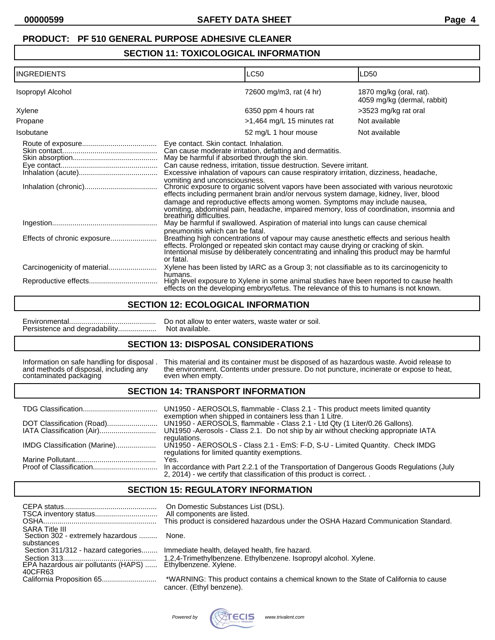# **SECTION 11: TOXICOLOGICAL INFORMATION**

| <b>INGREDIENTS</b>       |                                                                                                                                                    | <b>LC50</b>                                                                                                                                                                                                                                                                                                                                                                                                                                                                                                                                                                          | LD50                                                   |
|--------------------------|----------------------------------------------------------------------------------------------------------------------------------------------------|--------------------------------------------------------------------------------------------------------------------------------------------------------------------------------------------------------------------------------------------------------------------------------------------------------------------------------------------------------------------------------------------------------------------------------------------------------------------------------------------------------------------------------------------------------------------------------------|--------------------------------------------------------|
| <b>Isopropyl Alcohol</b> |                                                                                                                                                    | 72600 mg/m3, rat (4 hr)                                                                                                                                                                                                                                                                                                                                                                                                                                                                                                                                                              | 1870 mg/kg (oral, rat).<br>4059 mg/kg (dermal, rabbit) |
| Xylene                   |                                                                                                                                                    | 6350 ppm 4 hours rat                                                                                                                                                                                                                                                                                                                                                                                                                                                                                                                                                                 | >3523 mg/kg rat oral                                   |
| Propane                  |                                                                                                                                                    | >1,464 mg/L 15 minutes rat                                                                                                                                                                                                                                                                                                                                                                                                                                                                                                                                                           | Not available                                          |
| Isobutane                |                                                                                                                                                    | 52 mg/L 1 hour mouse                                                                                                                                                                                                                                                                                                                                                                                                                                                                                                                                                                 | Not available                                          |
|                          | Eye contact. Skin contact. Inhalation.<br>May be harmful if absorbed through the skin.<br>vomiting and unconsciousness.<br>breathing difficulties. | Can cause moderate irritation, defatting and dermatitis.<br>Can cause redness, irritation, tissue destruction. Severe irritant.<br>Excessive inhalation of vapours can cause respiratory irritation, dizziness, headache,<br>Chronic exposure to organic solvent vapors have been associated with various neurotoxic<br>effects including permanent brain and/or nervous system damage, kidney, liver, blood<br>damage and reproductive effects among women. Symptoms may include nausea,<br>vomiting, abdominal pain, headache, impaired memory, loss of coordination, insomnia and |                                                        |
|                          |                                                                                                                                                    | May be harmful if swallowed. Aspiration of material into lungs can cause chemical                                                                                                                                                                                                                                                                                                                                                                                                                                                                                                    |                                                        |
|                          | pneumonitis which can be fatal.<br>or fatal.                                                                                                       | Breathing high concentrations of vapour may cause anesthetic effects and serious health<br>effects. Prolonged or repeated skin contact may cause drying or cracking of skin.<br>Intentional misuse by deliberately concentrating and inhaling this product may be harmful                                                                                                                                                                                                                                                                                                            |                                                        |
|                          |                                                                                                                                                    | Xylene has been listed by IARC as a Group 3; not classifiable as to its carcinogenicity to                                                                                                                                                                                                                                                                                                                                                                                                                                                                                           |                                                        |
|                          | humans.                                                                                                                                            | High level exposure to Xylene in some animal studies have been reported to cause health<br>effects on the developing embryo/fetus. The relevance of this to humans is not known.                                                                                                                                                                                                                                                                                                                                                                                                     |                                                        |

#### **SECTION 12: ECOLOGICAL INFORMATION**

Persistence and degradability...................

Environmental........................................... Do not allow to enter waters, waste water or soil.

## **SECTION 13: DISPOSAL CONSIDERATIONS**

contaminated packaging

Information on safe handling for disposal . This material and its container must be disposed of as hazardous waste. Avoid release to and methods of disposal, including any the environment. Contents under pressure. Do not p the environment. Contents under pressure. Do not puncture, incinerate or expose to heat, even when empty.

### **SECTION 14: TRANSPORT INFORMATION**

|                              | UN1950 - AEROSOLS, flammable - Class 2.1 - This product meets limited quantity<br>exemption when shipped in containers less than 1 Litre. |
|------------------------------|-------------------------------------------------------------------------------------------------------------------------------------------|
|                              | UN1950 - AEROSOLS, flammable - Class 2.1 - Ltd Qty (1 Liter/0.26 Gallons).                                                                |
|                              | UN1950 - Aerosols - Class 2.1. Do not ship by air without checking appropriate IATA                                                       |
|                              | regulations.                                                                                                                              |
| IMDG Classification (Marine) | UN1950 - AEROSOLS - Class 2.1 - EmS: F-D, S-U - Limited Quantity. Check IMDG                                                              |
|                              | regulations for limited quantity exemptions.                                                                                              |
|                              | Yes.<br>In accordance with Part 2.2.1 of the Transportation of Dangerous Goods Regulations (July                                          |
|                              | 2, 2014) - we certify that classification of this product is correct                                                                      |

### **SECTION 15: REGULATORY INFORMATION**

|                                                                          | On Domestic Substances List (DSL).<br>All components are listed.<br>This product is considered hazardous under the OSHA Hazard Communication Standard. |
|--------------------------------------------------------------------------|--------------------------------------------------------------------------------------------------------------------------------------------------------|
| <b>SARA Title III</b><br>Section 302 - extremely hazardous<br>substances | None.                                                                                                                                                  |
|                                                                          | Section 311/312 - hazard categories Immediate health, delayed health, fire hazard.                                                                     |
| 40CFR63                                                                  |                                                                                                                                                        |
|                                                                          | *WARNING: This product contains a chemical known to the State of California to cause<br>cancer. (Ethyl benzene).                                       |